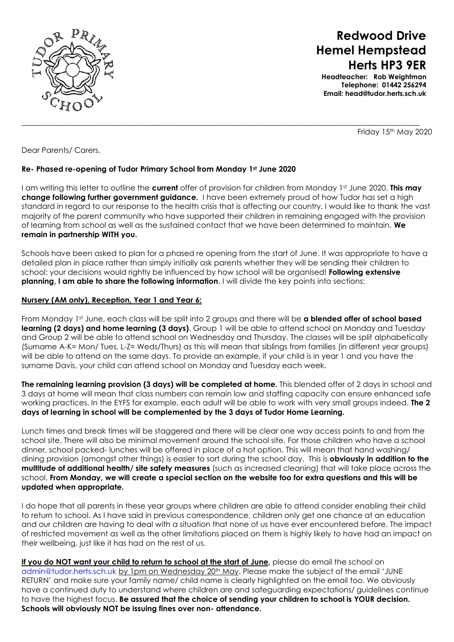

# **Redwood Drive Hemel Hempstead Herts HP3 9ER**

**Headteacher: Rob Weightman Telephone: 01442 256294 Email: head@tudor.herts.sch.uk**

Friday 15th May 2020

Dear Parents/ Carers,

### **Re- Phased re-opening of Tudor Primary School from Monday 1st June 2020**

I am writing this letter to outline the **current** offer of provision for children from Monday 1st June 2020. **This may change following further government guidance.** I have been extremely proud of how Tudor has set a high standard in regard to our response to the health crisis that is affecting our country. I would like to thank the vast majority of the parent community who have supported their children in remaining engaged with the provision of learning from school as well as the sustained contact that we have been determined to maintain. **We remain in partnership WITH you.**

 $\_$  , and the set of the set of the set of the set of the set of the set of the set of the set of the set of the set of the set of the set of the set of the set of the set of the set of the set of the set of the set of th

Schools have been asked to plan for a phased re opening from the start of June. It was appropriate to have a detailed plan in place rather than simply initially ask parents whether they will be sending their children to school: your decisions would rightly be influenced by how school will be organised! **Following extensive planning, I am able to share the following information**. I will divide the key points into sections:

#### **Nursery (AM only), Reception, Year 1 and Year 6:**

From Monday 1st June, each class will be split into 2 groups and there will be **a blended offer of school based learning (2 days) and home learning (3 days)**. Group 1 will be able to attend school on Monday and Tuesday and Group 2 will be able to attend school on Wednesday and Thursday. The classes will be split alphabetically (Surname A-K= Mon/ Tues, L-Z= Weds/Thurs) as this will mean that siblings from families (in different year groups) will be able to attend on the same days. To provide an example, if your child is in year 1 and you have the surname Davis, your child can attend school on Monday and Tuesday each week.

**The remaining learning provision (3 days) will be completed at home.** This blended offer of 2 days in school and 3 days at home will mean that class numbers can remain low and staffing capacity can ensure enhanced safe working practices. In the EYFS for example, each adult will be able to work with very small groups indeed. **The 2 days of learning in school will be complemented by the 3 days of Tudor Home Learning.**

Lunch times and break times will be staggered and there will be clear one way access points to and from the school site. There will also be minimal movement around the school site. For those children who have a school dinner, school packed- lunches will be offered in place of a hot option. This will mean that hand washing/ dining provision (amongst other things) is easier to sort during the school day. This is **obviously in addition to the multitude of additional health/ site safety measures** (such as increased cleaning) that will take place across the school. **From Monday, we will create a special section on the website too for extra questions and this will be updated when appropriate.**

I do hope that all parents in these year groups where children are able to attend consider enabling their child to return to school. As I have said in previous correspondence, children only get one chance at an education and our children are having to deal with a situation that none of us have ever encountered before. The impact of restricted movement as well as the other limitations placed on them is highly likely to have had an impact on their wellbeing, just like it has had on the rest of us.

**If you do NOT want your child to return to school at the start of June,** please do email the school on [admin@tudor.herts.sch.uk](mailto:admin@tudor.herts.sch.uk) by 1pm on Wednesday 20<sup>th</sup> May. Please make the subject of the email 'JUNE RETURN' and make sure your family name/ child name is clearly highlighted on the email too. We obviously have a continued duty to understand where children are and safeguarding expectations/ guidelines continue to have the highest focus. **Be assured that the choice of sending your children to school is YOUR decision. Schools will obviously NOT be issuing fines over non- attendance.**